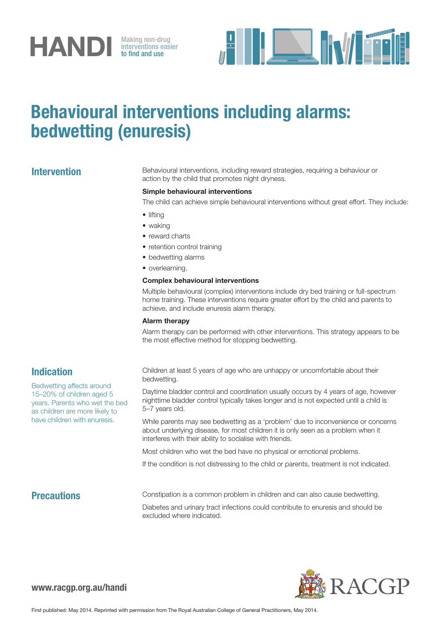# **HANDI** Making non-drug<br>to find and use

interventions easier to find and use



## Behavioural interventions including alarms: bedwetting (enuresis)

Intervention Behavioural interventions, including reward strategies, requiring a behaviour or action by the child that promotes night dryness.

#### Simple behavioural interventions

The child can achieve simple behavioural interventions without great effort. They include:

- lifting
- waking
- reward charts
- retention control training
- bedwetting alarms
- overlearning.

#### Complex behavioural interventions

Multiple behavioural (complex) interventions include dry bed training or full-spectrum home training. These interventions require greater effort by the child and parents to achieve, and include enuresis alarm therapy.

#### Alarm therapy

Alarm therapy can be performed with other interventions. This strategy appears to be the most effective method for stopping bedwetting.

### Indication

Bedwetting affects around 15–20% of children aged 5 years. Parents who wet the bed as children are more likely to have children with enuresis.

Children at least 5 years of age who are unhappy or uncomfortable about their bedwetting.

Daytime bladder control and coordination usually occurs by 4 years of age, however nighttime bladder control typically takes longer and is not expected until a child is 5–7 years old.

While parents may see bedwetting as a 'problem' due to inconvenience or concerns about underlying disease, for most children it is only seen as a problem when it interferes with their ability to socialise with friends.

Most children who wet the bed have no physical or emotional problems.

If the condition is not distressing to the child or parents, treatment is not indicated.

**Precautions** Constipation is a common problem in children and can also cause bedwetting.

Diabetes and urinary tract infections could contribute to enuresis and should be excluded where indicated.

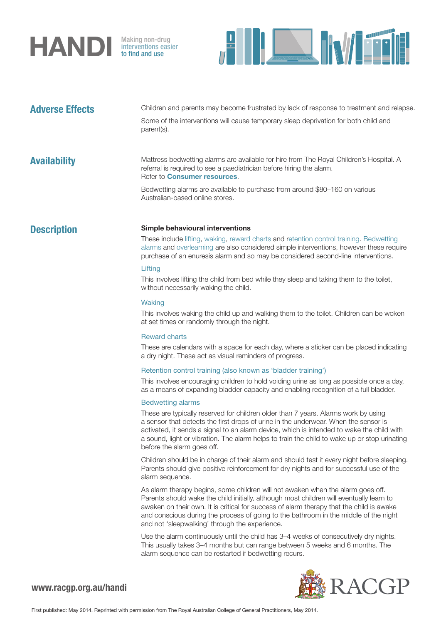

interventions easier to find and use



**機 RACGP** 

| <b>Adverse Effects</b> | Children and parents may become frustrated by lack of response to treatment and relapse.<br>Some of the interventions will cause temporary sleep deprivation for both child and<br>parent(s).                                                                                                                                                                                                                     |
|------------------------|-------------------------------------------------------------------------------------------------------------------------------------------------------------------------------------------------------------------------------------------------------------------------------------------------------------------------------------------------------------------------------------------------------------------|
| <b>Availability</b>    | Mattress bedwetting alarms are available for hire from The Royal Children's Hospital. A<br>referral is required to see a paediatrician before hiring the alarm.<br>Refer to <b>Consumer resources</b> .                                                                                                                                                                                                           |
|                        | Bedwetting alarms are available to purchase from around \$80-160 on various<br>Australian-based online stores.                                                                                                                                                                                                                                                                                                    |
| <b>Description</b>     | Simple behavioural interventions                                                                                                                                                                                                                                                                                                                                                                                  |
|                        | These include lifting, waking, reward charts and retention control training. Bedwetting<br>alarms and overlearning are also considered simple interventions, however these require<br>purchase of an enuresis alarm and so may be considered second-line interventions.                                                                                                                                           |
|                        | Lifting<br>This involves lifting the child from bed while they sleep and taking them to the toilet,<br>without necessarily waking the child.                                                                                                                                                                                                                                                                      |
|                        | Waking                                                                                                                                                                                                                                                                                                                                                                                                            |
|                        | This involves waking the child up and walking them to the toilet. Children can be woken<br>at set times or randomly through the night.                                                                                                                                                                                                                                                                            |
|                        | <b>Reward charts</b>                                                                                                                                                                                                                                                                                                                                                                                              |
|                        | These are calendars with a space for each day, where a sticker can be placed indicating<br>a dry night. These act as visual reminders of progress.                                                                                                                                                                                                                                                                |
|                        | Retention control training (also known as 'bladder training')                                                                                                                                                                                                                                                                                                                                                     |
|                        | This involves encouraging children to hold voiding urine as long as possible once a day,<br>as a means of expanding bladder capacity and enabling recognition of a full bladder.                                                                                                                                                                                                                                  |
|                        | <b>Bedwetting alarms</b>                                                                                                                                                                                                                                                                                                                                                                                          |
|                        | These are typically reserved for children older than 7 years. Alarms work by using<br>a sensor that detects the first drops of urine in the underwear. When the sensor is<br>activated, it sends a signal to an alarm device, which is intended to wake the child with<br>a sound, light or vibration. The alarm helps to train the child to wake up or stop urinating<br>before the alarm goes off.              |
|                        | Children should be in charge of their alarm and should test it every night before sleeping.<br>Parents should give positive reinforcement for dry nights and for successful use of the<br>alarm sequence.                                                                                                                                                                                                         |
|                        | As alarm therapy begins, some children will not awaken when the alarm goes off.<br>Parents should wake the child initially, although most children will eventually learn to<br>awaken on their own. It is critical for success of alarm therapy that the child is awake<br>and conscious during the process of going to the bathroom in the middle of the night<br>and not 'sleepwalking' through the experience. |
|                        | Use the alarm continuously until the child has 3-4 weeks of consecutively dry nights.<br>This usually takes 3-4 months but can range between 5 weeks and 6 months. The<br>alarm sequence can be restarted if bedwetting recurs.                                                                                                                                                                                   |
|                        |                                                                                                                                                                                                                                                                                                                                                                                                                   |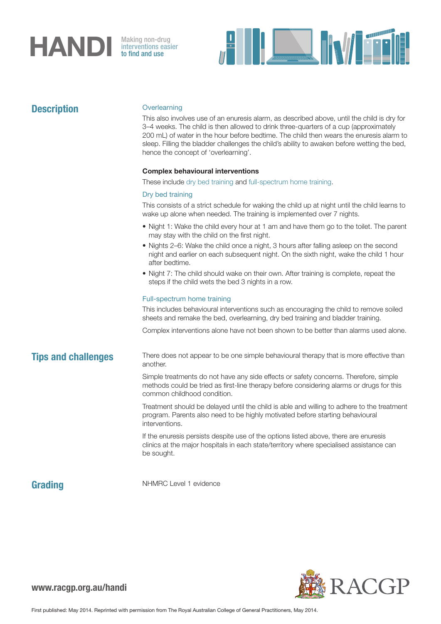# **HANDI** Making non-drug<br>to find and use

interventions easier to find and use



| <b>Description</b>         | Overlearning<br>This also involves use of an enuresis alarm, as described above, until the child is dry for<br>3–4 weeks. The child is then allowed to drink three-quarters of a cup (approximately<br>200 mL) of water in the hour before bedtime. The child then wears the enuresis alarm to<br>sleep. Filling the bladder challenges the child's ability to awaken before wetting the bed,<br>hence the concept of 'overlearning'. |
|----------------------------|---------------------------------------------------------------------------------------------------------------------------------------------------------------------------------------------------------------------------------------------------------------------------------------------------------------------------------------------------------------------------------------------------------------------------------------|
|                            | <b>Complex behavioural interventions</b>                                                                                                                                                                                                                                                                                                                                                                                              |
|                            | These include dry bed training and full-spectrum home training.                                                                                                                                                                                                                                                                                                                                                                       |
|                            | Dry bed training                                                                                                                                                                                                                                                                                                                                                                                                                      |
|                            | This consists of a strict schedule for waking the child up at night until the child learns to<br>wake up alone when needed. The training is implemented over 7 nights.                                                                                                                                                                                                                                                                |
|                            | • Night 1: Wake the child every hour at 1 am and have them go to the toilet. The parent<br>may stay with the child on the first night.                                                                                                                                                                                                                                                                                                |
|                            | • Nights 2–6: Wake the child once a night, 3 hours after falling asleep on the second<br>night and earlier on each subsequent night. On the sixth night, wake the child 1 hour<br>after bedtime.                                                                                                                                                                                                                                      |
|                            | • Night 7: The child should wake on their own. After training is complete, repeat the<br>steps if the child wets the bed 3 nights in a row.                                                                                                                                                                                                                                                                                           |
|                            | Full-spectrum home training                                                                                                                                                                                                                                                                                                                                                                                                           |
|                            | This includes behavioural interventions such as encouraging the child to remove soiled<br>sheets and remake the bed, overlearning, dry bed training and bladder training.                                                                                                                                                                                                                                                             |
|                            | Complex interventions alone have not been shown to be better than alarms used alone.                                                                                                                                                                                                                                                                                                                                                  |
| <b>Tips and challenges</b> | There does not appear to be one simple behavioural therapy that is more effective than<br>another.                                                                                                                                                                                                                                                                                                                                    |
|                            | Simple treatments do not have any side effects or safety concerns. Therefore, simple<br>methods could be tried as first-line therapy before considering alarms or drugs for this<br>common childhood condition.                                                                                                                                                                                                                       |
|                            | Treatment should be delayed until the child is able and willing to adhere to the treatment<br>program. Parents also need to be highly motivated before starting behavioural<br>interventions.                                                                                                                                                                                                                                         |
|                            | If the enuresis persists despite use of the options listed above, there are enuresis<br>clinics at the major hospitals in each state/territory where specialised assistance can<br>be sought.                                                                                                                                                                                                                                         |
|                            |                                                                                                                                                                                                                                                                                                                                                                                                                                       |

### **Grading**

NHMRC Level 1 evidence